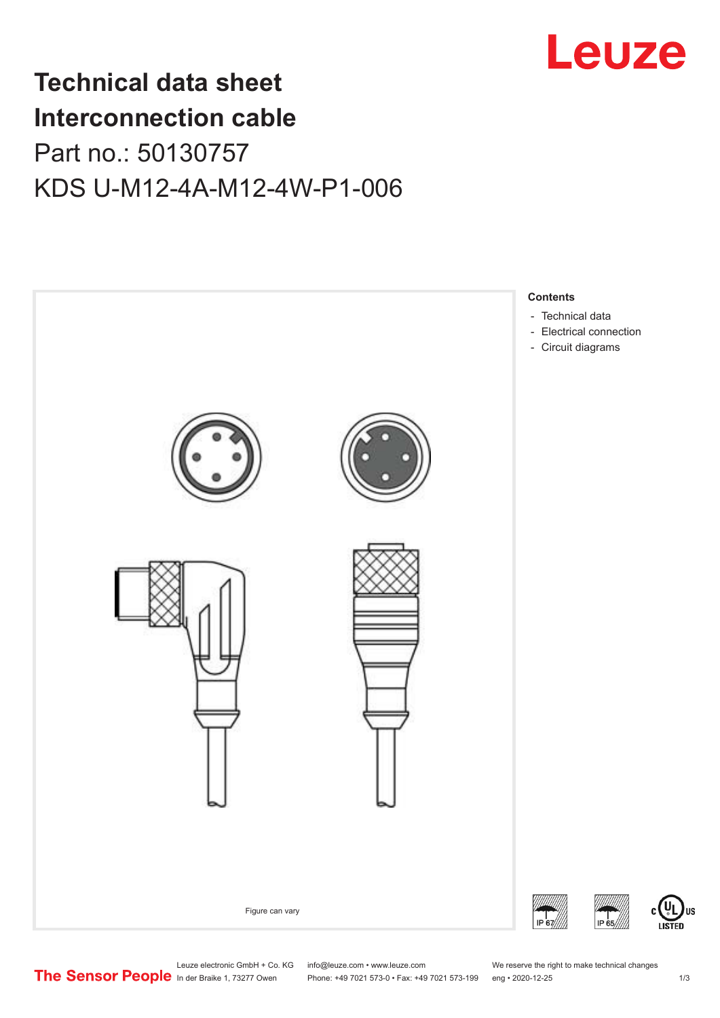

## **Technical data sheet Interconnection cable** Part no.: 50130757 KDS U-M12-4A-M12-4W-P1-006



Leuze electronic GmbH + Co. KG info@leuze.com • www.leuze.com We reserve the right to make technical changes<br>
The Sensor People in der Braike 1, 73277 Owen Phone: +49 7021 573-0 • Fax: +49 7021 573-199 eng • 2020-12-25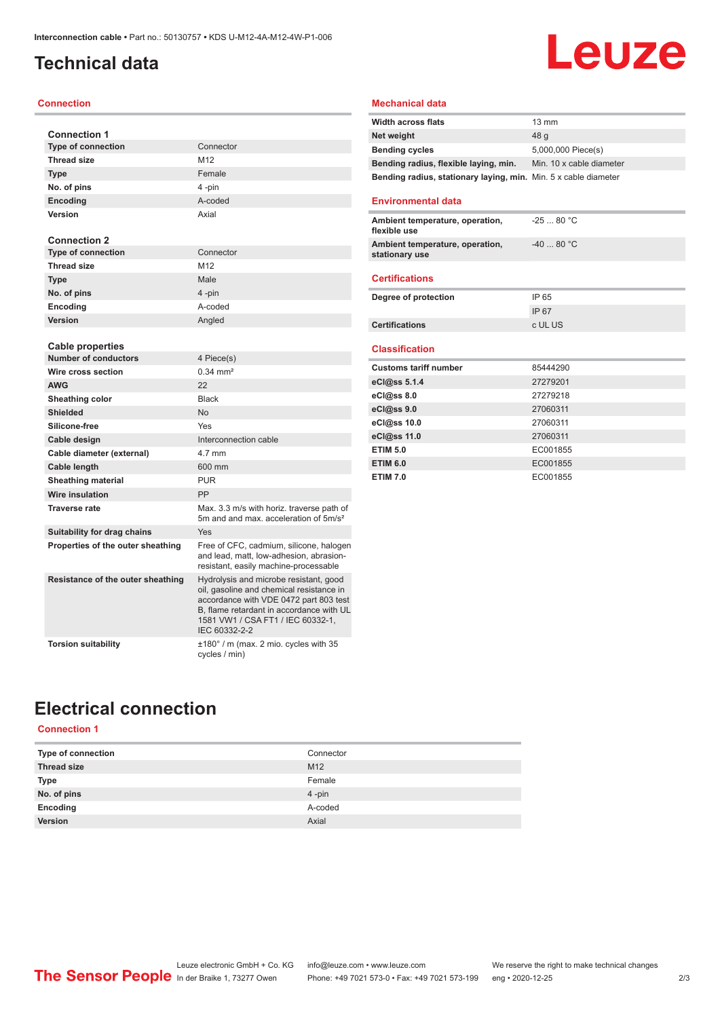### <span id="page-1-0"></span>**Technical data**

#### **Connection**

| <b>Connection 1</b>               |                                                                                                                                                                                                                                |
|-----------------------------------|--------------------------------------------------------------------------------------------------------------------------------------------------------------------------------------------------------------------------------|
| <b>Type of connection</b>         | Connector                                                                                                                                                                                                                      |
| <b>Thread size</b>                | M12                                                                                                                                                                                                                            |
| <b>Type</b>                       | Female                                                                                                                                                                                                                         |
| No. of pins                       | 4-pin                                                                                                                                                                                                                          |
| <b>Encoding</b>                   | A-coded                                                                                                                                                                                                                        |
| Version                           | Axial                                                                                                                                                                                                                          |
|                                   |                                                                                                                                                                                                                                |
| <b>Connection 2</b>               |                                                                                                                                                                                                                                |
| <b>Type of connection</b>         | Connector                                                                                                                                                                                                                      |
| <b>Thread size</b>                | M12                                                                                                                                                                                                                            |
| <b>Type</b>                       | Male                                                                                                                                                                                                                           |
| No. of pins                       | 4-pin                                                                                                                                                                                                                          |
| Encoding                          | A-coded                                                                                                                                                                                                                        |
| Version                           | Angled                                                                                                                                                                                                                         |
|                                   |                                                                                                                                                                                                                                |
| <b>Cable properties</b>           |                                                                                                                                                                                                                                |
| <b>Number of conductors</b>       | 4 Piece(s)                                                                                                                                                                                                                     |
| Wire cross section                | $0.34 \, \text{mm}^2$                                                                                                                                                                                                          |
| <b>AWG</b>                        | 22                                                                                                                                                                                                                             |
| Sheathing color                   | <b>Black</b>                                                                                                                                                                                                                   |
| <b>Shielded</b>                   | No                                                                                                                                                                                                                             |
| Silicone-free                     | Yes                                                                                                                                                                                                                            |
| Cable design                      | Interconnection cable                                                                                                                                                                                                          |
| Cable diameter (external)         | 4.7 mm                                                                                                                                                                                                                         |
| Cable length                      | 600 mm                                                                                                                                                                                                                         |
| <b>Sheathing material</b>         | <b>PUR</b>                                                                                                                                                                                                                     |
| Wire insulation                   | PP                                                                                                                                                                                                                             |
| <b>Traverse rate</b>              | Max. 3.3 m/s with horiz. traverse path of<br>5m and and max, acceleration of 5m/s <sup>2</sup>                                                                                                                                 |
| Suitability for drag chains       | Yes                                                                                                                                                                                                                            |
| Properties of the outer sheathing | Free of CFC, cadmium, silicone, halogen<br>and lead, matt, low-adhesion, abrasion-<br>resistant, easily machine-processable                                                                                                    |
| Resistance of the outer sheathing | Hydrolysis and microbe resistant, good<br>oil, gasoline and chemical resistance in<br>accordance with VDE 0472 part 803 test<br>B, flame retardant in accordance with UL<br>1581 VW1 / CSA FT1 / IEC 60332-1.<br>IEC 60332-2-2 |
| <b>Torsion suitability</b>        | $\pm 180^\circ$ / m (max. 2 mio. cycles with 35<br>cycles / min)                                                                                                                                                               |

### **Mechanical data**

| <b>Width across flats</b>                                       | $13 \text{ mm}$          |
|-----------------------------------------------------------------|--------------------------|
| Net weight                                                      | 48 a                     |
| <b>Bending cycles</b>                                           | 5,000,000 Piece(s)       |
| Bending radius, flexible laying, min.                           | Min. 10 x cable diameter |
| Bending radius, stationary laying, min. Min. 5 x cable diameter |                          |

**Leuze** 

#### **Environmental data**

| Ambient temperature, operation,<br>flexible use   | $-2580 °C$ |
|---------------------------------------------------|------------|
| Ambient temperature, operation,<br>stationary use | $-4080 °C$ |
|                                                   |            |

#### **Certifications**

| Degree of protection  | IP 65   |
|-----------------------|---------|
|                       | IP 67   |
| <b>Certifications</b> | c UL US |

#### **Classification**

| <b>Customs tariff number</b> | 85444290 |
|------------------------------|----------|
| eCl@ss 5.1.4                 | 27279201 |
| eCl@ss 8.0                   | 27279218 |
| eCl@ss 9.0                   | 27060311 |
| eCl@ss 10.0                  | 27060311 |
| eCl@ss 11.0                  | 27060311 |
| <b>ETIM 5.0</b>              | EC001855 |
| <b>ETIM 6.0</b>              | EC001855 |
| <b>ETIM 7.0</b>              | EC001855 |

### **Electrical connection**

### **Connection 1**

| Type of connection | Connector       |
|--------------------|-----------------|
| <b>Thread size</b> | M <sub>12</sub> |
| Type               | Female          |
| No. of pins        | $4 - pin$       |
| Encoding           | A-coded         |
| Version            | Axial           |